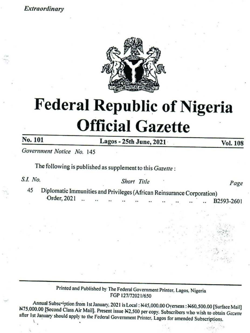### Extraordinary



# Federal Republic of Nigeria Official Gazette **Profile Calcular Schemer Active Action**<br> **Principal Gazette**<br> **Printed and Published as supplement to this** *Gazette***<br>** *SLI. No.* **Short Title<br>
45 Diplomatic Immunities and Privileges (African Reinsurance Corporation Printe**

No. 101 Lagos - 25th June, 2021 Vol. 108

Government Notice No. 145

The following is published as supplement to this Gazette :

S.I. No. 2008 Short Title 2008

45 Diplomatic Immunities and Privileges (African Reinsurance Corporation)<br>Order, 2021 2 B2593-2601

by The Federal C<br>FGP 127/72<br>uary, 2021 is Loca<br>resent issue N2,50<br>deral Government Annual Subscription from 1st January, 2021 is Local : N45,000.00 Overseas : N60,500.00 [Surface Mail]<br>N75,000.00 [Second Class Air Mail]. Present issue N2,500 per copy. Subscribers who wish to obtain *Gazette*<br>after 1st Ja

 $\mathbb{Z}_{3}$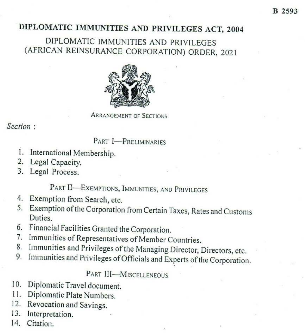# DIPLOMATIC IMMUNITIES AND PRIVILEGES ACT, 2004

# DIPLOMATIC IMMUNITIES AND PRIVILEGES (AFRICAN REINSURANCE CORPORATION) ORDER, <sup>2021</sup>



ARRANGEMENT OF SECTIONS

Section :

## Part I—PRELIMINARIES

- $\frac{1}{2}$ 1. International Membership.
- 2. Legal Capacity.
- 3. Legal Process.

# Part II—Exemptions, IMMUNITIES, AND PRIVILEGES

- $rac{4}{5}$ Exemption from Search, etc,
- Exemption of the Corporation from Certain Taxes, Rates and Customs Duties.
- 
- 7. Immunities of Representatives of Member Countries,
- 6. Financial Facilities Granted the Corporation.<br>
2. Immunities of Representatives of Member Countries.<br>
2. Immunities and Privileges of the Managing Director, Directors, etc.<br>
2. Immunities and Privileges of Officials and
- Immunities and Privileges of Officials and Experts of the Corporation.

Part III—MIsCELLENEOUS

- Diplomatic Travel document.<br>Diplomatic Plate Numbers.<br>Revocation and Savings.<br>Interpretation.<br>Citation.  $10.$
- $11.$ Diplomatic Plate Numbers.
- 12. Revocation and Savings.
- 13. Interpretation.
- 14. Citation.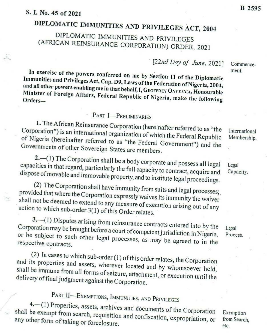DIPLOMATIC IMMUNITIES AND PRIVILEGES ACT, <sup>2004</sup> (AFRICAN REINSURANCE CORPORATION) ORDER, 2021

 $[22nd$  Day of June, 2021]

Immunities and Privileges Act, Cap. D9, Laws of the Federation of Nigeria, 2004,<br>and all other powers enabling may be a laws of the Federation of Nigeria, 2004, In exercise of the powers conferred on me by Section 11 of the Diplomatic and all other Minister Minister of Foreign Affairs, Federal Republic of Nigeria, make the following Orders—

# Part I—PRELIMINARIES

Corporation") is an international organization of which the Federal Republic 1. The African Reinsurance Corporation (hereinafter referred to as "the Governments of other Sovereign States are members. of Nigeria (hereinafter referred to as "the Federal Government") and the

capacities in that regard, particularly the full capacity to contract, acquire and 2.—(1) The Corporation shall be a body corporate and possess all legal dispose in that regard, particularly the full capacity to contract, acquire and immovable property, and to institute legal proceedings.<br>
(2) The Corporation shall have immunity from suits and legal processes;<br>
(ded that where the

provided that where the Corporation expressly waives its immunity the waiver<br>shall not be deemed to extend to green waives its immunity the waiver action not ot be deemed to extend to any measure of execution arising out of any<br>to which sub-order 3(1) of this Order relates.

action to which sub-order  $3(1)$  of this Order relates.<br>3.—(1) Disputes arising from reinsurance contracts entered into by the Corporation may be brought before a court of competent jurisdiction in Nigeria, or be subject to such other legal processes, as may be agreed to in the respective contracts.

and (2) In cases to which sub-order (1) of this order relates, the Corporation shall its be properties and assets, wherever located and by whomsoever held<br>immune from all farmers for the state of the state of the state of the state of the state of the state of the immune from all forms of seizure, attachment, or execution until the of final judgment against the Corporation. delivery of final judgment against the Corporation.

PART II—EXEMPTIONS, IMMUNITIES, AND PRIVILEGES<br>4.—(1) Properties, assets, archives and documents of the Corporation shall 4.—(1) Properties, assets, archives and documents of the Corporation shall be exempt from search, requisition and confiscation, expropriation, or any other form of taking or foreclosure.

International Membership.

Commencement.

Legal Capacity.

Legal Process.

Exemption from Search, etc,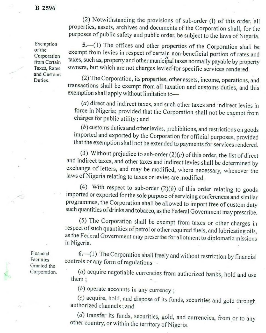### B 2596

Exemption of the Corporation from Certain Taxes, Rates and Customs Duties.

(2) Notwithstanding the provisions of sub-order (1) of this order, all properties, assets, archives and documents of the Corporation shall, for the purposes of public safety and public order, be subject to the laws of Nige

5.—(1) The offices and other properties of the Corporation shall be exempt from levies in respect of certain non-beneficial portion of rates and taxes, such as, property and other municipal taxes normally payable by prope

(2) The Corporation, its properties, other assets, income, operations, and transactions shall be exempt from all taxation and customs duties, and this exemption shall apply without limitation to—

( $a$ ) direct and indirect taxes, and such other taxes and indirect levies in force in Nigeria; provided that the Corporation shall not be exempt from charges for public utility ; and

 $(b)$  customs duties and other levies, prohibitions, and restrictions on goods imported and exported by the Corporation for official purposes, provided that the exemption shall not be extended to payments for services rend

(3) Without prejudice to sub-order  $(2)(a)$  of this order, the list of direct and indirect taxes, and other taxes and indirect levies shall be determined by exchange of letters, and may be modified, where necessary, whenev

(4) With respect to sub-order  $(2)(b)$  of this order relating to goods<br>imported or exported for the sole purpose of servicing conferences and similar<br>programmes, the Corporation shall be allowed to import free of custom du

(5) The Corporation shall be exempt from taxes or other charges in respect of such quantities of petrol or other required fuels, and lubricating oils, as the Federal Government may prescribe for allotment to diplomatic mis

Financial Facilities Granted the Corporation.  $6.$ —(1) The Corporation shall freely and without restriction by financial controls or any form of regulations—

(a) acquire negotiable currencies from authorized banks, hold and use them :

 $(b)$  operate accounts in any currency;

(c) acquire, hold, and dispose of its funds, securities and gold through authorized channels ; and

( $d$ ) transfer its funds, securities, gold, and currencies, from or to any other country, or within the territory of Nigeria.